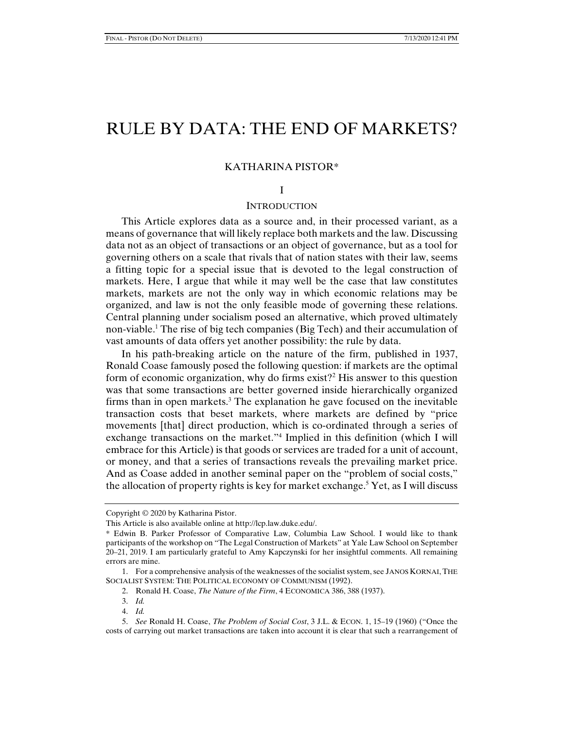# RULE BY DATA: THE END OF MARKETS?

## KATHARINA PISTOR\*

## I

## **INTRODUCTION**

This Article explores data as a source and, in their processed variant, as a means of governance that will likely replace both markets and the law. Discussing data not as an object of transactions or an object of governance, but as a tool for governing others on a scale that rivals that of nation states with their law, seems a fitting topic for a special issue that is devoted to the legal construction of markets. Here, I argue that while it may well be the case that law constitutes markets, markets are not the only way in which economic relations may be organized, and law is not the only feasible mode of governing these relations. Central planning under socialism posed an alternative, which proved ultimately non-viable.1 The rise of big tech companies (Big Tech) and their accumulation of vast amounts of data offers yet another possibility: the rule by data.

In his path-breaking article on the nature of the firm, published in 1937, Ronald Coase famously posed the following question: if markets are the optimal form of economic organization, why do firms exist?<sup>2</sup> His answer to this question was that some transactions are better governed inside hierarchically organized firms than in open markets.3 The explanation he gave focused on the inevitable transaction costs that beset markets, where markets are defined by "price movements [that] direct production, which is co-ordinated through a series of exchange transactions on the market."<sup>4</sup> Implied in this definition (which I will embrace for this Article) is that goods or services are traded for a unit of account, or money, and that a series of transactions reveals the prevailing market price. And as Coase added in another seminal paper on the "problem of social costs," the allocation of property rights is key for market exchange.<sup>5</sup> Yet, as I will discuss

Copyright © 2020 by Katharina Pistor.

This Article is also available online at http://lcp.law.duke.edu/.

<sup>\*</sup> Edwin B. Parker Professor of Comparative Law, Columbia Law School. I would like to thank participants of the workshop on "The Legal Construction of Markets" at Yale Law School on September 20–21, 2019. I am particularly grateful to Amy Kapczynski for her insightful comments. All remaining errors are mine.

 <sup>1.</sup> For a comprehensive analysis of the weaknesses of the socialist system, see JANOS KORNAI,THE SOCIALIST SYSTEM: THE POLITICAL ECONOMY OF COMMUNISM (1992).

 <sup>2.</sup> Ronald H. Coase, *The Nature of the Firm*, 4 ECONOMICA 386, 388 (1937).

 <sup>3.</sup> *Id.*

 <sup>4.</sup> *Id.*

 <sup>5.</sup> *See* Ronald H. Coase, *The Problem of Social Cost*, 3 J.L. & ECON. 1, 15–19 (1960) ("Once the costs of carrying out market transactions are taken into account it is clear that such a rearrangement of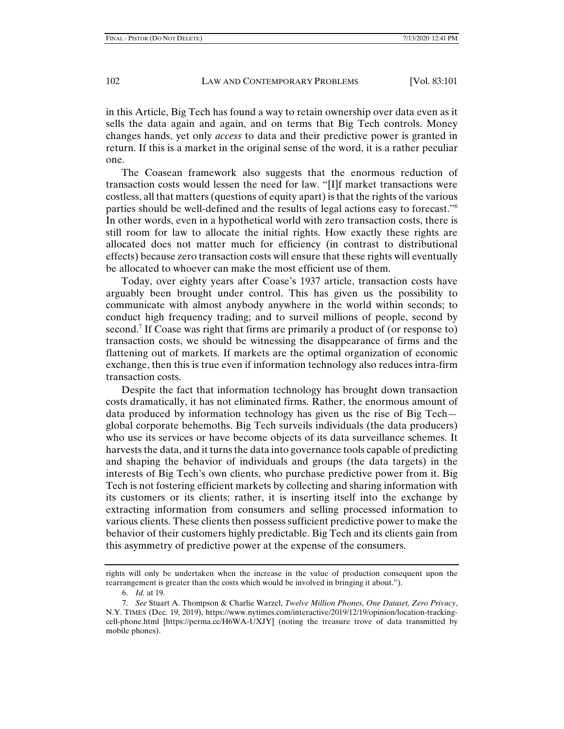in this Article, Big Tech has found a way to retain ownership over data even as it sells the data again and again, and on terms that Big Tech controls. Money changes hands, yet only *access* to data and their predictive power is granted in return. If this is a market in the original sense of the word, it is a rather peculiar one.

The Coasean framework also suggests that the enormous reduction of transaction costs would lessen the need for law. "[I]f market transactions were costless, all that matters (questions of equity apart) is that the rights of the various parties should be well-defined and the results of legal actions easy to forecast."6 In other words, even in a hypothetical world with zero transaction costs, there is still room for law to allocate the initial rights. How exactly these rights are allocated does not matter much for efficiency (in contrast to distributional effects) because zero transaction costs will ensure that these rights will eventually be allocated to whoever can make the most efficient use of them.

Today, over eighty years after Coase's 1937 article, transaction costs have arguably been brought under control. This has given us the possibility to communicate with almost anybody anywhere in the world within seconds; to conduct high frequency trading; and to surveil millions of people, second by second.<sup>7</sup> If Coase was right that firms are primarily a product of (or response to) transaction costs, we should be witnessing the disappearance of firms and the flattening out of markets. If markets are the optimal organization of economic exchange, then this is true even if information technology also reduces intra-firm transaction costs.

Despite the fact that information technology has brought down transaction costs dramatically, it has not eliminated firms. Rather, the enormous amount of data produced by information technology has given us the rise of Big Tech global corporate behemoths. Big Tech surveils individuals (the data producers) who use its services or have become objects of its data surveillance schemes. It harvests the data, and it turns the data into governance tools capable of predicting and shaping the behavior of individuals and groups (the data targets) in the interests of Big Tech's own clients, who purchase predictive power from it. Big Tech is not fostering efficient markets by collecting and sharing information with its customers or its clients; rather, it is inserting itself into the exchange by extracting information from consumers and selling processed information to various clients. These clients then possess sufficient predictive power to make the behavior of their customers highly predictable. Big Tech and its clients gain from this asymmetry of predictive power at the expense of the consumers.

rights will only be undertaken when the increase in the value of production consequent upon the rearrangement is greater than the costs which would be involved in bringing it about.").

 <sup>6.</sup> *Id.* at 19.

 <sup>7.</sup> *See* Stuart A. Thompson & Charlie Warzel, *Twelve Million Phones, One Dataset, Zero Privacy*, N.Y. TIMES (Dec. 19, 2019), https://www.nytimes.com/interactive/2019/12/19/opinion/location-trackingcell-phone.html [https://perma.cc/H6WA-UXJY] (noting the treasure trove of data transmitted by mobile phones).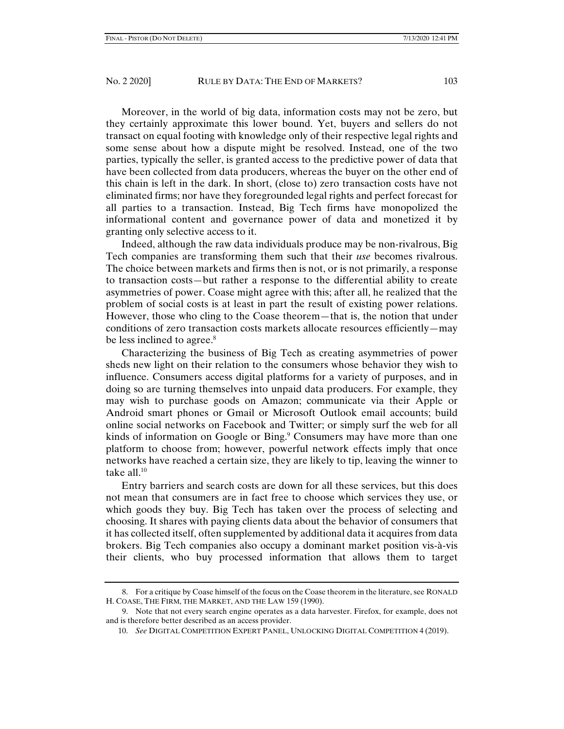Moreover, in the world of big data, information costs may not be zero, but they certainly approximate this lower bound. Yet, buyers and sellers do not transact on equal footing with knowledge only of their respective legal rights and some sense about how a dispute might be resolved. Instead, one of the two parties, typically the seller, is granted access to the predictive power of data that have been collected from data producers, whereas the buyer on the other end of this chain is left in the dark. In short, (close to) zero transaction costs have not eliminated firms; nor have they foregrounded legal rights and perfect forecast for all parties to a transaction. Instead, Big Tech firms have monopolized the informational content and governance power of data and monetized it by granting only selective access to it.

Indeed, although the raw data individuals produce may be non-rivalrous, Big Tech companies are transforming them such that their *use* becomes rivalrous. The choice between markets and firms then is not, or is not primarily, a response to transaction costs—but rather a response to the differential ability to create asymmetries of power. Coase might agree with this; after all, he realized that the problem of social costs is at least in part the result of existing power relations. However, those who cling to the Coase theorem—that is, the notion that under conditions of zero transaction costs markets allocate resources efficiently—may be less inclined to agree.<sup>8</sup>

Characterizing the business of Big Tech as creating asymmetries of power sheds new light on their relation to the consumers whose behavior they wish to influence. Consumers access digital platforms for a variety of purposes, and in doing so are turning themselves into unpaid data producers. For example, they may wish to purchase goods on Amazon; communicate via their Apple or Android smart phones or Gmail or Microsoft Outlook email accounts; build online social networks on Facebook and Twitter; or simply surf the web for all kinds of information on Google or Bing.<sup>9</sup> Consumers may have more than one platform to choose from; however, powerful network effects imply that once networks have reached a certain size, they are likely to tip, leaving the winner to take all. $10$ 

Entry barriers and search costs are down for all these services, but this does not mean that consumers are in fact free to choose which services they use, or which goods they buy. Big Tech has taken over the process of selecting and choosing. It shares with paying clients data about the behavior of consumers that it has collected itself, often supplemented by additional data it acquires from data brokers. Big Tech companies also occupy a dominant market position vis-à-vis their clients, who buy processed information that allows them to target

 <sup>8.</sup> For a critique by Coase himself of the focus on the Coase theorem in the literature, see RONALD H. COASE, THE FIRM, THE MARKET, AND THE LAW 159 (1990).

 <sup>9.</sup> Note that not every search engine operates as a data harvester. Firefox, for example, does not and is therefore better described as an access provider.

 <sup>10.</sup> *See* DIGITAL COMPETITION EXPERT PANEL, UNLOCKING DIGITAL COMPETITION 4 (2019).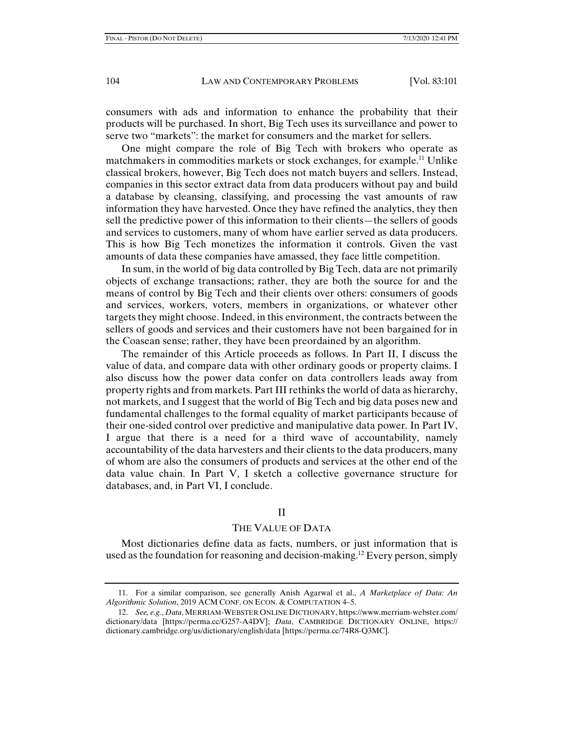consumers with ads and information to enhance the probability that their products will be purchased. In short, Big Tech uses its surveillance and power to serve two "markets": the market for consumers and the market for sellers.

One might compare the role of Big Tech with brokers who operate as matchmakers in commodities markets or stock exchanges, for example.11 Unlike classical brokers, however, Big Tech does not match buyers and sellers. Instead, companies in this sector extract data from data producers without pay and build a database by cleansing, classifying, and processing the vast amounts of raw information they have harvested. Once they have refined the analytics, they then sell the predictive power of this information to their clients—the sellers of goods and services to customers, many of whom have earlier served as data producers. This is how Big Tech monetizes the information it controls. Given the vast amounts of data these companies have amassed, they face little competition.

In sum, in the world of big data controlled by Big Tech, data are not primarily objects of exchange transactions; rather, they are both the source for and the means of control by Big Tech and their clients over others: consumers of goods and services, workers, voters, members in organizations, or whatever other targets they might choose. Indeed, in this environment, the contracts between the sellers of goods and services and their customers have not been bargained for in the Coasean sense; rather, they have been preordained by an algorithm.

The remainder of this Article proceeds as follows. In Part II, I discuss the value of data, and compare data with other ordinary goods or property claims. I also discuss how the power data confer on data controllers leads away from property rights and from markets. Part III rethinks the world of data as hierarchy, not markets, and I suggest that the world of Big Tech and big data poses new and fundamental challenges to the formal equality of market participants because of their one-sided control over predictive and manipulative data power. In Part IV, I argue that there is a need for a third wave of accountability, namely accountability of the data harvesters and their clients to the data producers, many of whom are also the consumers of products and services at the other end of the data value chain. In Part V, I sketch a collective governance structure for databases, and, in Part VI, I conclude.

## II

#### THE VALUE OF DATA

Most dictionaries define data as facts, numbers, or just information that is used as the foundation for reasoning and decision-making.12 Every person, simply

 <sup>11.</sup> For a similar comparison, see generally Anish Agarwal et al., *A Marketplace of Data: An Algorithmic Solution*, 2019 ACM CONF. ON ECON. & COMPUTATION 4–5.

 <sup>12.</sup> *See, e.g.*, *Data*, MERRIAM-WEBSTER ONLINE DICTIONARY, https://www.merriam-webster.com/ dictionary/data [https://perma.cc/G257-A4DV]; *Data*, CAMBRIDGE DICTIONARY ONLINE, https:// dictionary.cambridge.org/us/dictionary/english/data [https://perma.cc/74R8-Q3MC].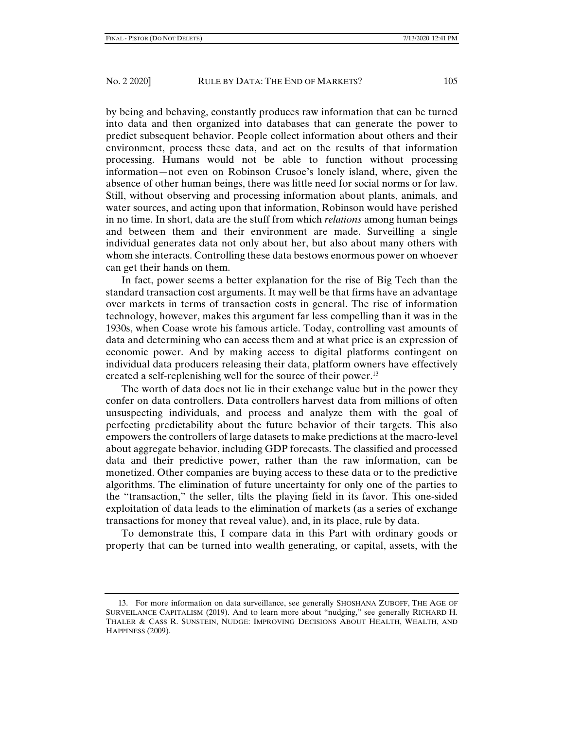by being and behaving, constantly produces raw information that can be turned into data and then organized into databases that can generate the power to predict subsequent behavior. People collect information about others and their environment, process these data, and act on the results of that information processing. Humans would not be able to function without processing information—not even on Robinson Crusoe's lonely island, where, given the absence of other human beings, there was little need for social norms or for law. Still, without observing and processing information about plants, animals, and water sources, and acting upon that information, Robinson would have perished in no time. In short, data are the stuff from which *relations* among human beings and between them and their environment are made. Surveilling a single individual generates data not only about her, but also about many others with whom she interacts. Controlling these data bestows enormous power on whoever can get their hands on them.

In fact, power seems a better explanation for the rise of Big Tech than the standard transaction cost arguments. It may well be that firms have an advantage over markets in terms of transaction costs in general. The rise of information technology, however, makes this argument far less compelling than it was in the 1930s, when Coase wrote his famous article. Today, controlling vast amounts of data and determining who can access them and at what price is an expression of economic power. And by making access to digital platforms contingent on individual data producers releasing their data, platform owners have effectively created a self-replenishing well for the source of their power.<sup>13</sup>

The worth of data does not lie in their exchange value but in the power they confer on data controllers. Data controllers harvest data from millions of often unsuspecting individuals, and process and analyze them with the goal of perfecting predictability about the future behavior of their targets. This also empowers the controllers of large datasets to make predictions at the macro-level about aggregate behavior, including GDP forecasts. The classified and processed data and their predictive power, rather than the raw information, can be monetized. Other companies are buying access to these data or to the predictive algorithms. The elimination of future uncertainty for only one of the parties to the "transaction," the seller, tilts the playing field in its favor. This one-sided exploitation of data leads to the elimination of markets (as a series of exchange transactions for money that reveal value), and, in its place, rule by data.

To demonstrate this, I compare data in this Part with ordinary goods or property that can be turned into wealth generating, or capital, assets, with the

 <sup>13.</sup> For more information on data surveillance, see generally SHOSHANA ZUBOFF, THE AGE OF SURVEILANCE CAPITALISM (2019). And to learn more about "nudging," see generally RICHARD H. THALER & CASS R. SUNSTEIN, NUDGE: IMPROVING DECISIONS ABOUT HEALTH, WEALTH, AND HAPPINESS (2009).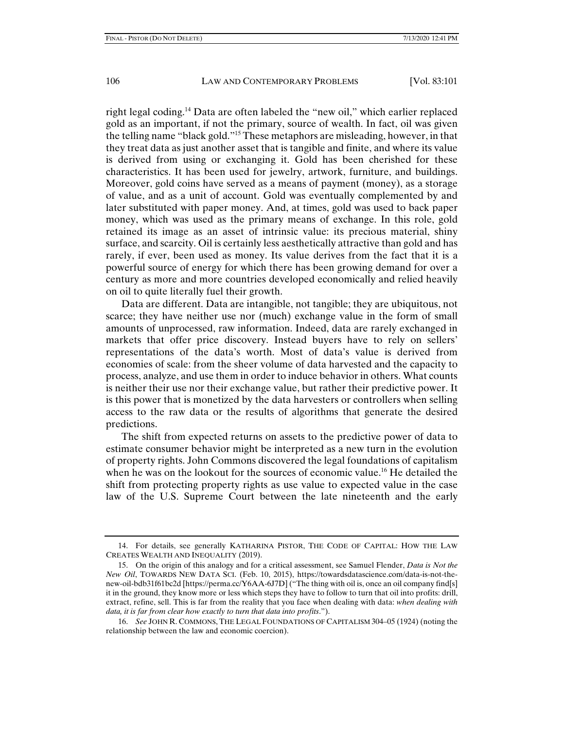right legal coding.14 Data are often labeled the "new oil," which earlier replaced gold as an important, if not the primary, source of wealth. In fact, oil was given the telling name "black gold."15 These metaphors are misleading, however, in that they treat data as just another asset that is tangible and finite, and where its value is derived from using or exchanging it. Gold has been cherished for these characteristics. It has been used for jewelry, artwork, furniture, and buildings. Moreover, gold coins have served as a means of payment (money), as a storage of value, and as a unit of account. Gold was eventually complemented by and later substituted with paper money. And, at times, gold was used to back paper money, which was used as the primary means of exchange. In this role, gold retained its image as an asset of intrinsic value: its precious material, shiny surface, and scarcity. Oil is certainly less aesthetically attractive than gold and has rarely, if ever, been used as money. Its value derives from the fact that it is a powerful source of energy for which there has been growing demand for over a century as more and more countries developed economically and relied heavily on oil to quite literally fuel their growth.

Data are different. Data are intangible, not tangible; they are ubiquitous, not scarce; they have neither use nor (much) exchange value in the form of small amounts of unprocessed, raw information. Indeed, data are rarely exchanged in markets that offer price discovery. Instead buyers have to rely on sellers' representations of the data's worth. Most of data's value is derived from economies of scale: from the sheer volume of data harvested and the capacity to process, analyze, and use them in order to induce behavior in others. What counts is neither their use nor their exchange value, but rather their predictive power. It is this power that is monetized by the data harvesters or controllers when selling access to the raw data or the results of algorithms that generate the desired predictions.

The shift from expected returns on assets to the predictive power of data to estimate consumer behavior might be interpreted as a new turn in the evolution of property rights. John Commons discovered the legal foundations of capitalism when he was on the lookout for the sources of economic value.<sup>16</sup> He detailed the shift from protecting property rights as use value to expected value in the case law of the U.S. Supreme Court between the late nineteenth and the early

 <sup>14.</sup> For details, see generally KATHARINA PISTOR, THE CODE OF CAPITAL: HOW THE LAW CREATES WEALTH AND INEQUALITY (2019).

 <sup>15.</sup> On the origin of this analogy and for a critical assessment, see Samuel Flender, *Data is Not the New Oil*, TOWARDS NEW DATA SCI. (Feb. 10, 2015), https://towardsdatascience.com/data-is-not-thenew-oil-bdb31f61bc2d [https://perma.cc/Y6AA-6J7D] ("The thing with oil is, once an oil company find[s] it in the ground, they know more or less which steps they have to follow to turn that oil into profits: drill, extract, refine, sell. This is far from the reality that you face when dealing with data: *when dealing with data, it is far from clear how exactly to turn that data into profits*.").

 <sup>16.</sup> *See* JOHN R. COMMONS, THE LEGAL FOUNDATIONS OF CAPITALISM 304–05 (1924) (noting the relationship between the law and economic coercion).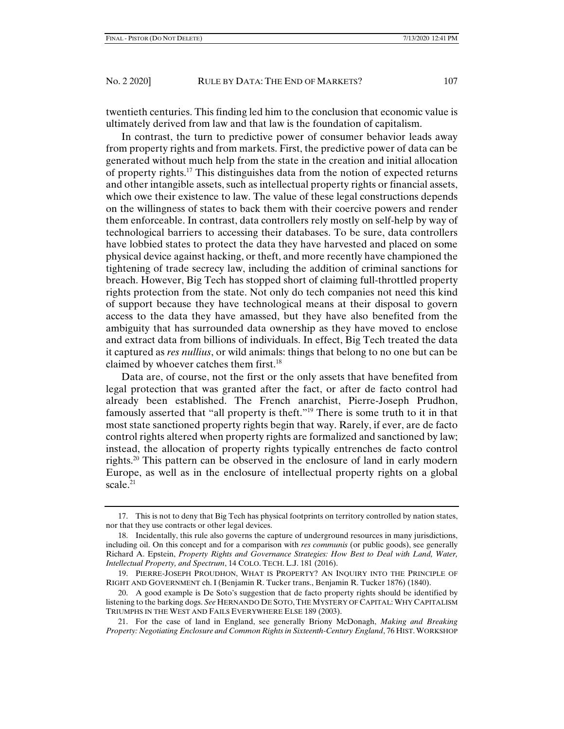twentieth centuries. This finding led him to the conclusion that economic value is ultimately derived from law and that law is the foundation of capitalism.

In contrast, the turn to predictive power of consumer behavior leads away from property rights and from markets. First, the predictive power of data can be generated without much help from the state in the creation and initial allocation of property rights.17 This distinguishes data from the notion of expected returns and other intangible assets, such as intellectual property rights or financial assets, which owe their existence to law. The value of these legal constructions depends on the willingness of states to back them with their coercive powers and render them enforceable. In contrast, data controllers rely mostly on self-help by way of technological barriers to accessing their databases. To be sure, data controllers have lobbied states to protect the data they have harvested and placed on some physical device against hacking, or theft, and more recently have championed the tightening of trade secrecy law, including the addition of criminal sanctions for breach. However, Big Tech has stopped short of claiming full-throttled property rights protection from the state. Not only do tech companies not need this kind of support because they have technological means at their disposal to govern access to the data they have amassed, but they have also benefited from the ambiguity that has surrounded data ownership as they have moved to enclose and extract data from billions of individuals. In effect, Big Tech treated the data it captured as *res nullius*, or wild animals: things that belong to no one but can be claimed by whoever catches them first.18

Data are, of course, not the first or the only assets that have benefited from legal protection that was granted after the fact, or after de facto control had already been established. The French anarchist, Pierre-Joseph Prudhon, famously asserted that "all property is theft."19 There is some truth to it in that most state sanctioned property rights begin that way. Rarely, if ever, are de facto control rights altered when property rights are formalized and sanctioned by law; instead, the allocation of property rights typically entrenches de facto control rights.20 This pattern can be observed in the enclosure of land in early modern Europe, as well as in the enclosure of intellectual property rights on a global scale. $21$ 

 <sup>17.</sup> This is not to deny that Big Tech has physical footprints on territory controlled by nation states, nor that they use contracts or other legal devices.

 <sup>18.</sup> Incidentally, this rule also governs the capture of underground resources in many jurisdictions, including oil. On this concept and for a comparison with *res communis* (or public goods), see generally Richard A. Epstein, *Property Rights and Governance Strategies: How Best to Deal with Land, Water, Intellectual Property, and Spectrum*, 14 COLO. TECH. L.J. 181 (2016).

 <sup>19.</sup> PIERRE-JOSEPH PROUDHON, WHAT IS PROPERTY? AN INQUIRY INTO THE PRINCIPLE OF RIGHT AND GOVERNMENT ch. I (Benjamin R. Tucker trans., Benjamin R. Tucker 1876) (1840).

 <sup>20.</sup> A good example is De Soto's suggestion that de facto property rights should be identified by listening to the barking dogs. *See* HERNANDO DE SOTO, THE MYSTERY OF CAPITAL: WHY CAPITALISM TRIUMPHS IN THE WEST AND FAILS EVERYWHERE ELSE 189 (2003).

 <sup>21.</sup> For the case of land in England, see generally Briony McDonagh, *Making and Breaking Property: Negotiating Enclosure and Common Rights in Sixteenth-Century England*, 76 HIST.WORKSHOP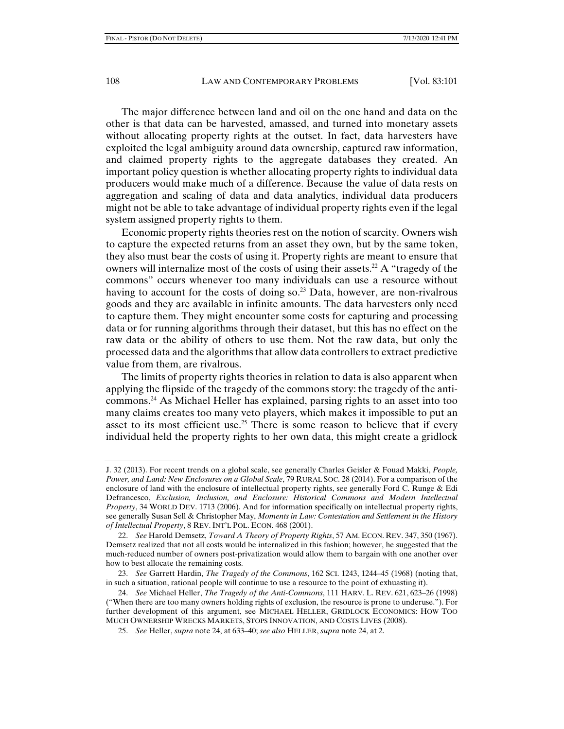The major difference between land and oil on the one hand and data on the other is that data can be harvested, amassed, and turned into monetary assets without allocating property rights at the outset. In fact, data harvesters have exploited the legal ambiguity around data ownership, captured raw information, and claimed property rights to the aggregate databases they created. An important policy question is whether allocating property rights to individual data producers would make much of a difference. Because the value of data rests on aggregation and scaling of data and data analytics, individual data producers might not be able to take advantage of individual property rights even if the legal system assigned property rights to them.

Economic property rights theories rest on the notion of scarcity. Owners wish to capture the expected returns from an asset they own, but by the same token, they also must bear the costs of using it. Property rights are meant to ensure that owners will internalize most of the costs of using their assets.<sup>22</sup> A "tragedy of the commons" occurs whenever too many individuals can use a resource without having to account for the costs of doing so.<sup>23</sup> Data, however, are non-rivalrous goods and they are available in infinite amounts. The data harvesters only need to capture them. They might encounter some costs for capturing and processing data or for running algorithms through their dataset, but this has no effect on the raw data or the ability of others to use them. Not the raw data, but only the processed data and the algorithms that allow data controllers to extract predictive value from them, are rivalrous.

The limits of property rights theories in relation to data is also apparent when applying the flipside of the tragedy of the commons story: the tragedy of the anticommons.24 As Michael Heller has explained, parsing rights to an asset into too many claims creates too many veto players, which makes it impossible to put an asset to its most efficient use.<sup>25</sup> There is some reason to believe that if every individual held the property rights to her own data, this might create a gridlock

J. 32 (2013). For recent trends on a global scale, see generally Charles Geisler & Fouad Makki, *People, Power, and Land: New Enclosures on a Global Scale*, 79 RURAL SOC. 28 (2014). For a comparison of the enclosure of land with the enclosure of intellectual property rights, see generally Ford C. Runge & Edi Defrancesco, *Exclusion, Inclusion, and Enclosure: Historical Commons and Modern Intellectual Property*, 34 WORLD DEV. 1713 (2006). And for information specifically on intellectual property rights, see generally Susan Sell & Christopher May, *Moments in Law: Contestation and Settlement in the History of Intellectual Property*, 8 REV. INT'L POL. ECON. 468 (2001).

 <sup>22.</sup> *See* Harold Demsetz, *Toward A Theory of Property Rights*, 57 AM. ECON. REV. 347, 350 (1967). Demsetz realized that not all costs would be internalized in this fashion; however, he suggested that the much-reduced number of owners post-privatization would allow them to bargain with one another over how to best allocate the remaining costs.

 <sup>23.</sup> *See* Garrett Hardin, *The Tragedy of the Commons*, 162 SCI. 1243, 1244–45 (1968) (noting that, in such a situation, rational people will continue to use a resource to the point of exhuasting it).

 <sup>24.</sup> *See* Michael Heller, *The Tragedy of the Anti-Commons*, 111 HARV. L. REV. 621, 623–26 (1998) ("When there are too many owners holding rights of exclusion, the resource is prone to underuse."). For further development of this argument, see MICHAEL HELLER, GRIDLOCK ECONOMICS: HOW TOO MUCH OWNERSHIP WRECKS MARKETS, STOPS INNOVATION, AND COSTS LIVES (2008).

 <sup>25.</sup> *See* Heller, *supra* note 24, at 633–40; *see also* HELLER, *supra* note 24, at 2.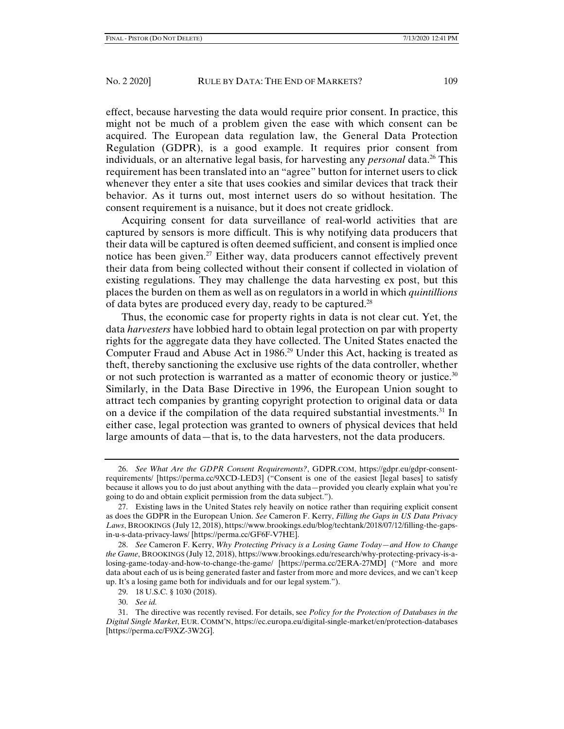effect, because harvesting the data would require prior consent. In practice, this might not be much of a problem given the ease with which consent can be acquired. The European data regulation law, the General Data Protection Regulation (GDPR), is a good example. It requires prior consent from individuals, or an alternative legal basis, for harvesting any *personal* data.26 This requirement has been translated into an "agree" button for internet users to click whenever they enter a site that uses cookies and similar devices that track their behavior. As it turns out, most internet users do so without hesitation. The consent requirement is a nuisance, but it does not create gridlock.

Acquiring consent for data surveillance of real-world activities that are captured by sensors is more difficult. This is why notifying data producers that their data will be captured is often deemed sufficient, and consent is implied once notice has been given.27 Either way, data producers cannot effectively prevent their data from being collected without their consent if collected in violation of existing regulations. They may challenge the data harvesting ex post, but this places the burden on them as well as on regulators in a world in which *quintillions* of data bytes are produced every day, ready to be captured.<sup>28</sup>

Thus, the economic case for property rights in data is not clear cut. Yet, the data *harvesters* have lobbied hard to obtain legal protection on par with property rights for the aggregate data they have collected. The United States enacted the Computer Fraud and Abuse Act in 1986.<sup>29</sup> Under this Act, hacking is treated as theft, thereby sanctioning the exclusive use rights of the data controller, whether or not such protection is warranted as a matter of economic theory or justice.<sup>30</sup> Similarly, in the Data Base Directive in 1996, the European Union sought to attract tech companies by granting copyright protection to original data or data on a device if the compilation of the data required substantial investments.<sup>31</sup> In either case, legal protection was granted to owners of physical devices that held large amounts of data—that is, to the data harvesters, not the data producers.

 <sup>26.</sup> *See What Are the GDPR Consent Requirements?*, GDPR.COM, https://gdpr.eu/gdpr-consentrequirements/ [https://perma.cc/9XCD-LED3] ("Consent is one of the easiest [legal bases] to satisfy because it allows you to do just about anything with the data—provided you clearly explain what you're going to do and obtain explicit permission from the data subject.").

 <sup>27.</sup> Existing laws in the United States rely heavily on notice rather than requiring explicit consent as does the GDPR in the European Union. *See* Cameron F. Kerry, *Filling the Gaps in US Data Privacy Laws*, BROOKINGS (July 12, 2018), https://www.brookings.edu/blog/techtank/2018/07/12/filling-the-gapsin-u-s-data-privacy-laws/ [https://perma.cc/GF6F-V7HE].

 <sup>28.</sup> *See* Cameron F. Kerry, *Why Protecting Privacy is a Losing Game Today—and How to Change the Game*, BROOKINGS (July 12, 2018), https://www.brookings.edu/research/why-protecting-privacy-is-alosing-game-today-and-how-to-change-the-game/ [https://perma.cc/2ERA-27MD] ("More and more data about each of us is being generated faster and faster from more and more devices, and we can't keep up. It's a losing game both for individuals and for our legal system.").

 <sup>29. 18</sup> U.S.C. § 1030 (2018).

 <sup>30.</sup> *See id.*

 <sup>31.</sup> The directive was recently revised. For details, see *Policy for the Protection of Databases in the Digital Single Market*, EUR. COMM'N, https://ec.europa.eu/digital-single-market/en/protection-databases [https://perma.cc/F9XZ-3W2G].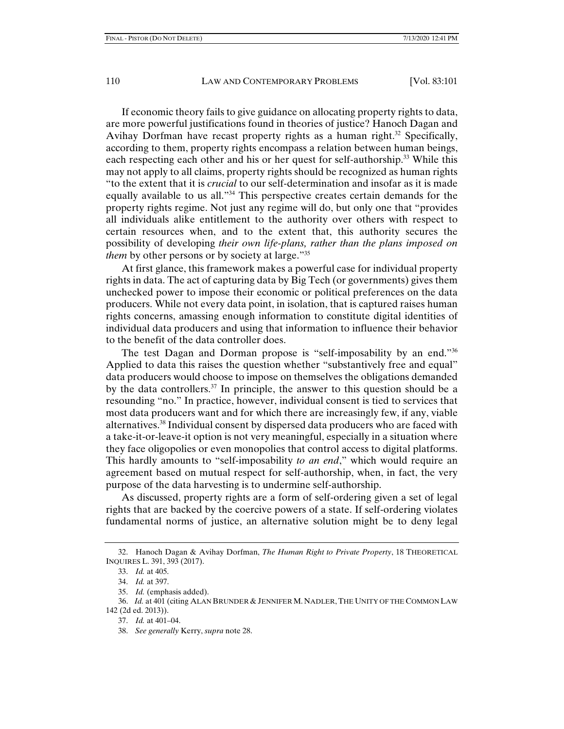If economic theory fails to give guidance on allocating property rights to data, are more powerful justifications found in theories of justice? Hanoch Dagan and Avihay Dorfman have recast property rights as a human right.<sup>32</sup> Specifically, according to them, property rights encompass a relation between human beings, each respecting each other and his or her quest for self-authorship.<sup>33</sup> While this may not apply to all claims, property rights should be recognized as human rights "to the extent that it is *crucial* to our self-determination and insofar as it is made equally available to us all."<sup>34</sup> This perspective creates certain demands for the property rights regime. Not just any regime will do, but only one that "provides all individuals alike entitlement to the authority over others with respect to certain resources when, and to the extent that, this authority secures the possibility of developing *their own life-plans, rather than the plans imposed on them* by other persons or by society at large."<sup>35</sup>

At first glance, this framework makes a powerful case for individual property rights in data. The act of capturing data by Big Tech (or governments) gives them unchecked power to impose their economic or political preferences on the data producers. While not every data point, in isolation, that is captured raises human rights concerns, amassing enough information to constitute digital identities of individual data producers and using that information to influence their behavior to the benefit of the data controller does.

The test Dagan and Dorman propose is "self-imposability by an end."36 Applied to data this raises the question whether "substantively free and equal" data producers would choose to impose on themselves the obligations demanded by the data controllers.<sup>37</sup> In principle, the answer to this question should be a resounding "no." In practice, however, individual consent is tied to services that most data producers want and for which there are increasingly few, if any, viable alternatives.38 Individual consent by dispersed data producers who are faced with a take-it-or-leave-it option is not very meaningful, especially in a situation where they face oligopolies or even monopolies that control access to digital platforms. This hardly amounts to "self-imposability *to an end*," which would require an agreement based on mutual respect for self-authorship, when, in fact, the very purpose of the data harvesting is to undermine self-authorship.

As discussed, property rights are a form of self-ordering given a set of legal rights that are backed by the coercive powers of a state. If self-ordering violates fundamental norms of justice, an alternative solution might be to deny legal

 <sup>32.</sup> Hanoch Dagan & Avihay Dorfman, *The Human Right to Private Property*, 18 THEORETICAL INQUIRES L. 391, 393 (2017).

 <sup>33.</sup> *Id.* at 405.

 <sup>34.</sup> *Id.* at 397.

 <sup>35.</sup> *Id.* (emphasis added).

 <sup>36.</sup> *Id.* at 401 (citing ALAN BRUNDER & JENNIFER M. NADLER,THE UNITY OF THE COMMON LAW 142 (2d ed. 2013)).

 <sup>37.</sup> *Id.* at 401–04.

 <sup>38.</sup> *See generally* Kerry, *supra* note 28.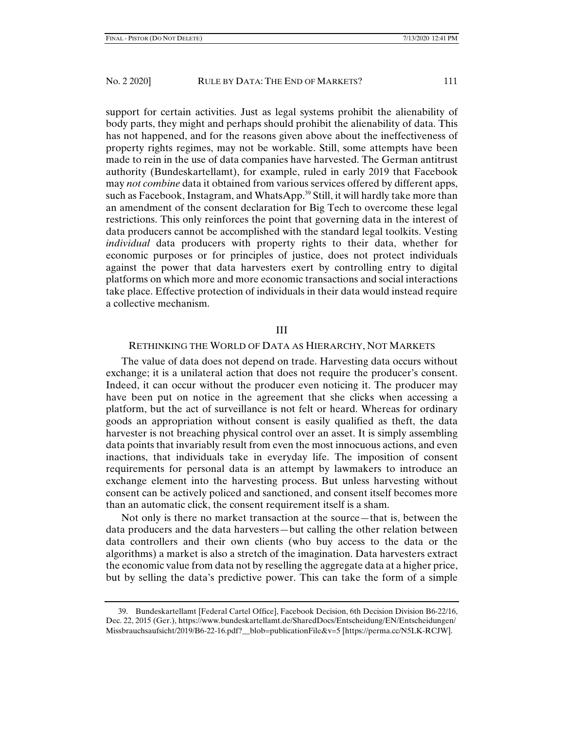support for certain activities. Just as legal systems prohibit the alienability of body parts, they might and perhaps should prohibit the alienability of data. This has not happened, and for the reasons given above about the ineffectiveness of property rights regimes, may not be workable. Still, some attempts have been made to rein in the use of data companies have harvested. The German antitrust authority (Bundeskartellamt), for example, ruled in early 2019 that Facebook may *not combine* data it obtained from various services offered by different apps, such as Facebook, Instagram, and WhatsApp.<sup>39</sup> Still, it will hardly take more than an amendment of the consent declaration for Big Tech to overcome these legal restrictions. This only reinforces the point that governing data in the interest of data producers cannot be accomplished with the standard legal toolkits. Vesting *individual* data producers with property rights to their data, whether for economic purposes or for principles of justice, does not protect individuals against the power that data harvesters exert by controlling entry to digital platforms on which more and more economic transactions and social interactions take place. Effective protection of individuals in their data would instead require a collective mechanism.

## III

#### RETHINKING THE WORLD OF DATA AS HIERARCHY, NOT MARKETS

The value of data does not depend on trade. Harvesting data occurs without exchange; it is a unilateral action that does not require the producer's consent. Indeed, it can occur without the producer even noticing it. The producer may have been put on notice in the agreement that she clicks when accessing a platform, but the act of surveillance is not felt or heard. Whereas for ordinary goods an appropriation without consent is easily qualified as theft, the data harvester is not breaching physical control over an asset. It is simply assembling data points that invariably result from even the most innocuous actions, and even inactions, that individuals take in everyday life. The imposition of consent requirements for personal data is an attempt by lawmakers to introduce an exchange element into the harvesting process. But unless harvesting without consent can be actively policed and sanctioned, and consent itself becomes more than an automatic click, the consent requirement itself is a sham.

Not only is there no market transaction at the source—that is, between the data producers and the data harvesters—but calling the other relation between data controllers and their own clients (who buy access to the data or the algorithms) a market is also a stretch of the imagination. Data harvesters extract the economic value from data not by reselling the aggregate data at a higher price, but by selling the data's predictive power. This can take the form of a simple

 <sup>39.</sup> Bundeskartellamt [Federal Cartel Office], Facebook Decision, 6th Decision Division B6-22/16, Dec. 22, 2015 (Ger.), https://www.bundeskartellamt.de/SharedDocs/Entscheidung/EN/Entscheidungen/ Missbrauchsaufsicht/2019/B6-22-16.pdf? blob=publicationFile&v=5 [https://perma.cc/N5LK-RCJW].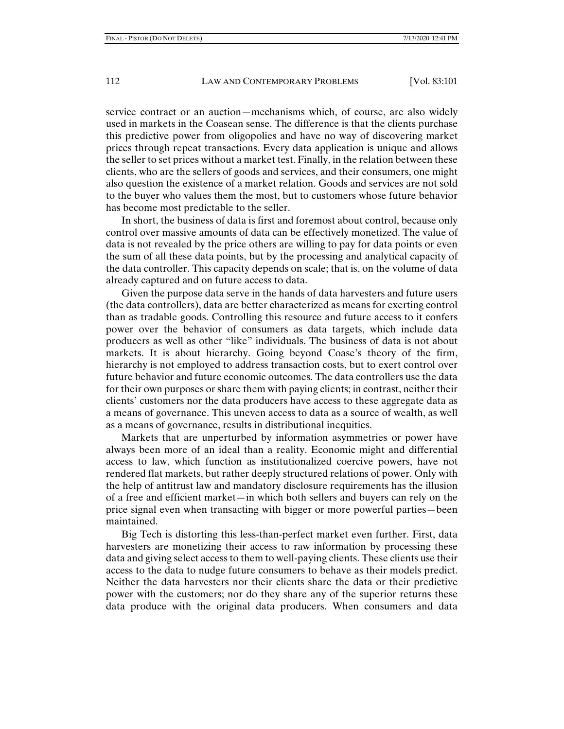service contract or an auction—mechanisms which, of course, are also widely used in markets in the Coasean sense. The difference is that the clients purchase this predictive power from oligopolies and have no way of discovering market prices through repeat transactions. Every data application is unique and allows the seller to set prices without a market test. Finally, in the relation between these clients, who are the sellers of goods and services, and their consumers, one might also question the existence of a market relation. Goods and services are not sold to the buyer who values them the most, but to customers whose future behavior has become most predictable to the seller.

In short, the business of data is first and foremost about control, because only control over massive amounts of data can be effectively monetized. The value of data is not revealed by the price others are willing to pay for data points or even the sum of all these data points, but by the processing and analytical capacity of the data controller. This capacity depends on scale; that is, on the volume of data already captured and on future access to data.

Given the purpose data serve in the hands of data harvesters and future users (the data controllers), data are better characterized as means for exerting control than as tradable goods. Controlling this resource and future access to it confers power over the behavior of consumers as data targets, which include data producers as well as other "like" individuals. The business of data is not about markets. It is about hierarchy. Going beyond Coase's theory of the firm, hierarchy is not employed to address transaction costs, but to exert control over future behavior and future economic outcomes. The data controllers use the data for their own purposes or share them with paying clients; in contrast, neither their clients' customers nor the data producers have access to these aggregate data as a means of governance. This uneven access to data as a source of wealth, as well as a means of governance, results in distributional inequities.

Markets that are unperturbed by information asymmetries or power have always been more of an ideal than a reality. Economic might and differential access to law, which function as institutionalized coercive powers, have not rendered flat markets, but rather deeply structured relations of power. Only with the help of antitrust law and mandatory disclosure requirements has the illusion of a free and efficient market—in which both sellers and buyers can rely on the price signal even when transacting with bigger or more powerful parties—been maintained.

Big Tech is distorting this less-than-perfect market even further. First, data harvesters are monetizing their access to raw information by processing these data and giving select access to them to well-paying clients. These clients use their access to the data to nudge future consumers to behave as their models predict. Neither the data harvesters nor their clients share the data or their predictive power with the customers; nor do they share any of the superior returns these data produce with the original data producers. When consumers and data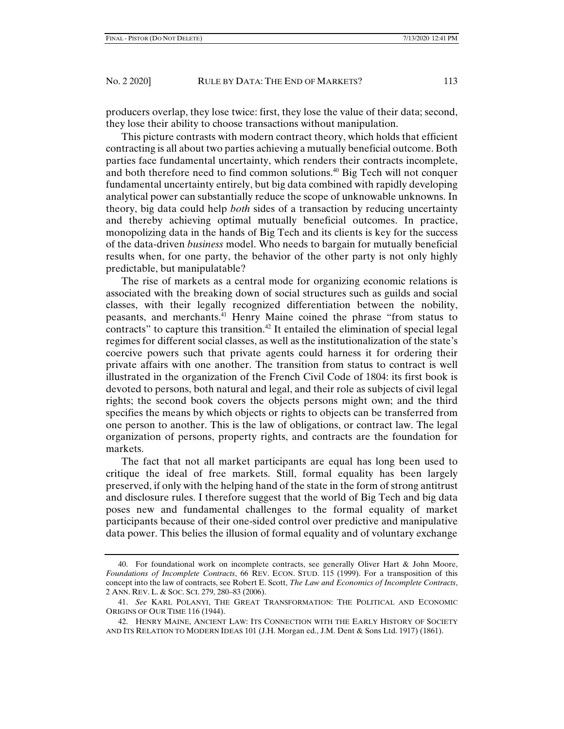producers overlap, they lose twice: first, they lose the value of their data; second, they lose their ability to choose transactions without manipulation.

This picture contrasts with modern contract theory, which holds that efficient contracting is all about two parties achieving a mutually beneficial outcome. Both parties face fundamental uncertainty, which renders their contracts incomplete, and both therefore need to find common solutions.40 Big Tech will not conquer fundamental uncertainty entirely, but big data combined with rapidly developing analytical power can substantially reduce the scope of unknowable unknowns. In theory, big data could help *both* sides of a transaction by reducing uncertainty and thereby achieving optimal mutually beneficial outcomes. In practice, monopolizing data in the hands of Big Tech and its clients is key for the success of the data-driven *business* model. Who needs to bargain for mutually beneficial results when, for one party, the behavior of the other party is not only highly predictable, but manipulatable?

The rise of markets as a central mode for organizing economic relations is associated with the breaking down of social structures such as guilds and social classes, with their legally recognized differentiation between the nobility, peasants, and merchants.41 Henry Maine coined the phrase "from status to contracts" to capture this transition.<sup>42</sup> It entailed the elimination of special legal regimes for different social classes, as well as the institutionalization of the state's coercive powers such that private agents could harness it for ordering their private affairs with one another. The transition from status to contract is well illustrated in the organization of the French Civil Code of 1804: its first book is devoted to persons, both natural and legal, and their role as subjects of civil legal rights; the second book covers the objects persons might own; and the third specifies the means by which objects or rights to objects can be transferred from one person to another. This is the law of obligations, or contract law. The legal organization of persons, property rights, and contracts are the foundation for markets.

The fact that not all market participants are equal has long been used to critique the ideal of free markets. Still, formal equality has been largely preserved, if only with the helping hand of the state in the form of strong antitrust and disclosure rules. I therefore suggest that the world of Big Tech and big data poses new and fundamental challenges to the formal equality of market participants because of their one-sided control over predictive and manipulative data power. This belies the illusion of formal equality and of voluntary exchange

 <sup>40.</sup> For foundational work on incomplete contracts, see generally Oliver Hart & John Moore, *Foundations of Incomplete Contracts*, 66 REV. ECON. STUD. 115 (1999). For a transposition of this concept into the law of contracts, see Robert E. Scott, *The Law and Economics of Incomplete Contracts*, 2 ANN. REV. L. & SOC. SCI. 279, 280–83 (2006).

 <sup>41.</sup> *See* KARL POLANYI, THE GREAT TRANSFORMATION: THE POLITICAL AND ECONOMIC ORIGINS OF OUR TIME 116 (1944).

 <sup>42.</sup> HENRY MAINE, ANCIENT LAW: ITS CONNECTION WITH THE EARLY HISTORY OF SOCIETY AND ITS RELATION TO MODERN IDEAS 101 (J.H. Morgan ed., J.M. Dent & Sons Ltd. 1917) (1861).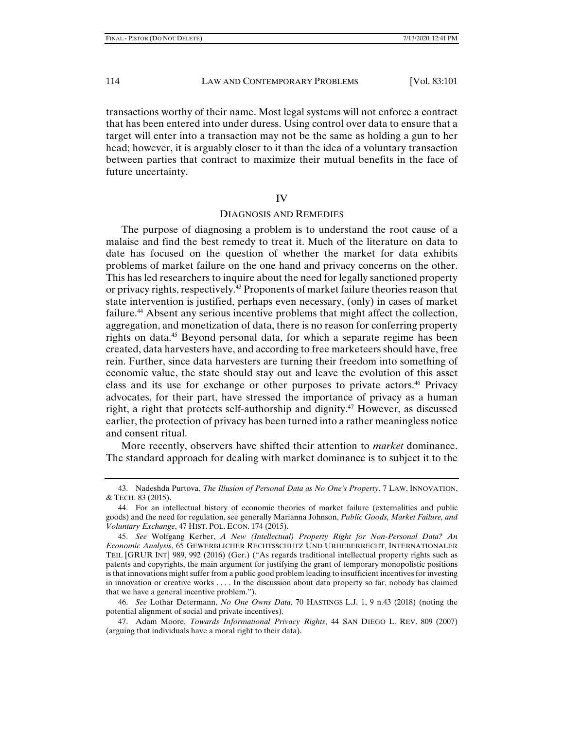transactions worthy of their name. Most legal systems will not enforce a contract that has been entered into under duress. Using control over data to ensure that a target will enter into a transaction may not be the same as holding a gun to her head; however, it is arguably closer to it than the idea of a voluntary transaction between parties that contract to maximize their mutual benefits in the face of future uncertainty.

#### IV

## DIAGNOSIS AND REMEDIES

The purpose of diagnosing a problem is to understand the root cause of a malaise and find the best remedy to treat it. Much of the literature on data to date has focused on the question of whether the market for data exhibits problems of market failure on the one hand and privacy concerns on the other. This has led researchers to inquire about the need for legally sanctioned property or privacy rights, respectively.<sup>43</sup> Proponents of market failure theories reason that state intervention is justified, perhaps even necessary, (only) in cases of market failure.<sup>44</sup> Absent any serious incentive problems that might affect the collection, aggregation, and monetization of data, there is no reason for conferring property rights on data.<sup>45</sup> Beyond personal data, for which a separate regime has been created, data harvesters have, and according to free marketeers should have, free rein. Further, since data harvesters are turning their freedom into something of economic value, the state should stay out and leave the evolution of this asset class and its use for exchange or other purposes to private actors.<sup>46</sup> Privacy advocates, for their part, have stressed the importance of privacy as a human right, a right that protects self-authorship and dignity.<sup>47</sup> However, as discussed earlier, the protection of privacy has been turned into a rather meaningless notice and consent ritual.

More recently, observers have shifted their attention to *market* dominance. The standard approach for dealing with market dominance is to subject it to the

 47. Adam Moore, *Towards Informational Privacy Rights*, 44 SAN DIEGO L. REV. 809 (2007) (arguing that individuals have a moral right to their data).

 <sup>43.</sup> Nadeshda Purtova, *The Illusion of Personal Data as No One's Property*, 7 LAW, INNOVATION, & TECH. 83 (2015).

 <sup>44.</sup> For an intellectual history of economic theories of market failure (externalities and public goods) and the need for regulation, see generally Marianna Johnson, *Public Goods, Market Failure, and Voluntary Exchange*, 47 HIST. POL. ECON. 174 (2015).

 <sup>45.</sup> *See* Wolfgang Kerber, *A New (Intellectual) Property Right for Non-Personal Data? An Economic Analysis*, 65 GEWERBLICHER RECHTSSCHUTZ UND URHEBERRECHT, INTERNATIONALER TEIL [GRUR INT] 989, 992 (2016) (Ger.) ("As regards traditional intellectual property rights such as patents and copyrights, the main argument for justifying the grant of temporary monopolistic positions is that innovations might suffer from a public good problem leading to insufficient incentives for investing in innovation or creative works . . . . In the discussion about data property so far, nobody has claimed that we have a general incentive problem.").

 <sup>46.</sup> *See* Lothar Determann, *No One Owns Data*, 70 HASTINGS L.J. 1, 9 n.43 (2018) (noting the potential alignment of social and private incentives).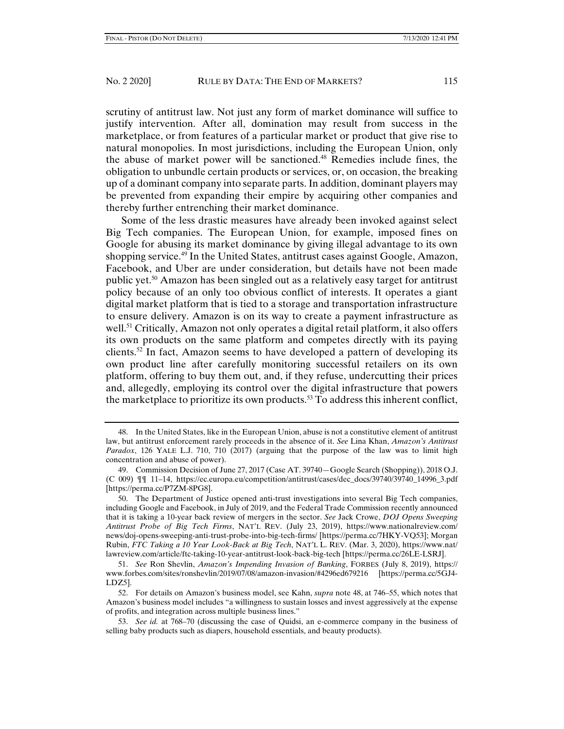scrutiny of antitrust law. Not just any form of market dominance will suffice to justify intervention. After all, domination may result from success in the marketplace, or from features of a particular market or product that give rise to natural monopolies. In most jurisdictions, including the European Union, only the abuse of market power will be sanctioned.48 Remedies include fines, the obligation to unbundle certain products or services, or, on occasion, the breaking up of a dominant company into separate parts. In addition, dominant players may be prevented from expanding their empire by acquiring other companies and thereby further entrenching their market dominance.

Some of the less drastic measures have already been invoked against select Big Tech companies. The European Union, for example, imposed fines on Google for abusing its market dominance by giving illegal advantage to its own shopping service.49 In the United States, antitrust cases against Google, Amazon, Facebook, and Uber are under consideration, but details have not been made public yet.50 Amazon has been singled out as a relatively easy target for antitrust policy because of an only too obvious conflict of interests. It operates a giant digital market platform that is tied to a storage and transportation infrastructure to ensure delivery. Amazon is on its way to create a payment infrastructure as well.<sup>51</sup> Critically, Amazon not only operates a digital retail platform, it also offers its own products on the same platform and competes directly with its paying clients.<sup>52</sup> In fact, Amazon seems to have developed a pattern of developing its own product line after carefully monitoring successful retailers on its own platform, offering to buy them out, and, if they refuse, undercutting their prices and, allegedly, employing its control over the digital infrastructure that powers the marketplace to prioritize its own products.<sup>53</sup> To address this inherent conflict,

 <sup>48.</sup> In the United States, like in the European Union, abuse is not a constitutive element of antitrust law, but antitrust enforcement rarely proceeds in the absence of it. *See* Lina Khan, *Amazon's Antitrust Paradox*, 126 YALE L.J. 710, 710 (2017) (arguing that the purpose of the law was to limit high concentration and abuse of power).

 <sup>49.</sup> Commission Decision of June 27, 2017 (Case AT. 39740—Google Search (Shopping)), 2018 O.J. (C 009) ¶¶ 11–14, https://ec.europa.eu/competition/antitrust/cases/dec\_docs/39740/39740\_14996\_3.pdf [https://perma.cc/P7ZM-8PG8].

 <sup>50.</sup> The Department of Justice opened anti-trust investigations into several Big Tech companies, including Google and Facebook, in July of 2019, and the Federal Trade Commission recently announced that it is taking a 10-year back review of mergers in the sector. *See* Jack Crowe, *DOJ Opens Sweeping Antitrust Probe of Big Tech Firms*, NAT'L REV. (July 23, 2019), https://www.nationalreview.com/ news/doj-opens-sweeping-anti-trust-probe-into-big-tech-firms/ [https://perma.cc/7HKY-VQ53]; Morgan Rubin, *FTC Taking a 10 Year Look-Back at Big Tech*, NAT'L L. REV. (Mar. 3, 2020), https://www.nat/ lawreview.com/article/ftc-taking-10-year-antitrust-look-back-big-tech [https://perma.cc/26LE-LSRJ].

 <sup>51.</sup> *See* Ron Shevlin, *Amazon's Impending Invasion of Banking*, FORBES (July 8, 2019), https:// www.forbes.com/sites/ronshevlin/2019/07/08/amazon-invasion/#4296ed679216 [https://perma.cc/5GJ4- LDZ5].

 <sup>52.</sup> For details on Amazon's business model, see Kahn, *supra* note 48, at 746–55, which notes that Amazon's business model includes "a willingness to sustain losses and invest aggressively at the expense of profits, and integration across multiple business lines."

 <sup>53.</sup> *See id.* at 768–70 (discussing the case of Quidsi, an e-commerce company in the business of selling baby products such as diapers, household essentials, and beauty products).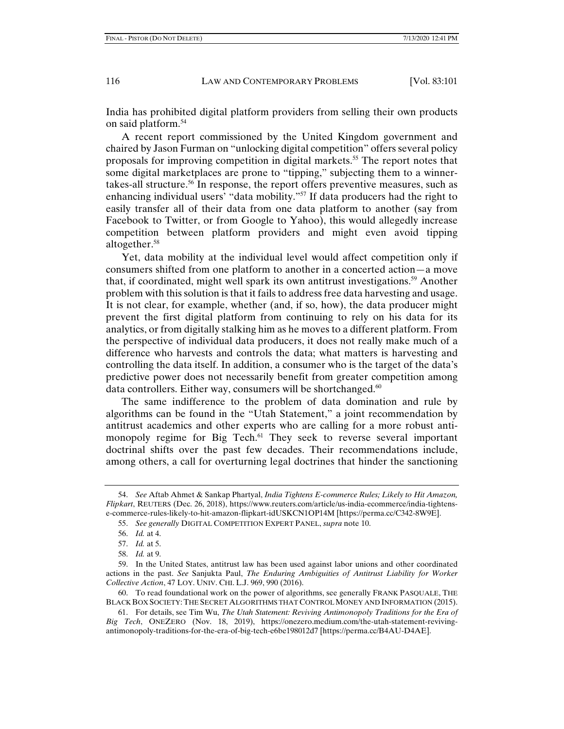India has prohibited digital platform providers from selling their own products on said platform.<sup>54</sup>

A recent report commissioned by the United Kingdom government and chaired by Jason Furman on "unlocking digital competition" offers several policy proposals for improving competition in digital markets.55 The report notes that some digital marketplaces are prone to "tipping," subjecting them to a winnertakes-all structure.56 In response, the report offers preventive measures, such as enhancing individual users' "data mobility."<sup>57</sup> If data producers had the right to easily transfer all of their data from one data platform to another (say from Facebook to Twitter, or from Google to Yahoo), this would allegedly increase competition between platform providers and might even avoid tipping altogether.<sup>58</sup>

Yet, data mobility at the individual level would affect competition only if consumers shifted from one platform to another in a concerted action—a move that, if coordinated, might well spark its own antitrust investigations.59 Another problem with this solution is that it fails to address free data harvesting and usage. It is not clear, for example, whether (and, if so, how), the data producer might prevent the first digital platform from continuing to rely on his data for its analytics, or from digitally stalking him as he moves to a different platform. From the perspective of individual data producers, it does not really make much of a difference who harvests and controls the data; what matters is harvesting and controlling the data itself. In addition, a consumer who is the target of the data's predictive power does not necessarily benefit from greater competition among data controllers. Either way, consumers will be shortchanged.<sup>60</sup>

The same indifference to the problem of data domination and rule by algorithms can be found in the "Utah Statement," a joint recommendation by antitrust academics and other experts who are calling for a more robust antimonopoly regime for Big Tech.<sup>61</sup> They seek to reverse several important doctrinal shifts over the past few decades. Their recommendations include, among others, a call for overturning legal doctrines that hinder the sanctioning

 60. To read foundational work on the power of algorithms, see generally FRANK PASQUALE, THE BLACK BOX SOCIETY:THE SECRET ALGORITHMS THAT CONTROL MONEY AND INFORMATION (2015).

 <sup>54.</sup> *See* Aftab Ahmet & Sankap Phartyal, *India Tightens E-commerce Rules; Likely to Hit Amazon, Flipkart*, REUTERS (Dec. 26, 2018), https://www.reuters.com/article/us-india-ecommerce/india-tightense-commerce-rules-likely-to-hit-amazon-flipkart-idUSKCN1OP14M [https://perma.cc/C342-8W9E].

 <sup>55.</sup> *See generally* DIGITAL COMPETITION EXPERT PANEL, *supra* note 10.

 <sup>56.</sup> *Id.* at 4.

 <sup>57.</sup> *Id.* at 5.

 <sup>58.</sup> *Id.* at 9.

 <sup>59.</sup> In the United States, antitrust law has been used against labor unions and other coordinated actions in the past. *See* Sanjukta Paul, *The Enduring Ambiguities of Antitrust Liability for Worker Collective Action*, 47 LOY. UNIV. CHI. L.J. 969, 990 (2016).

 <sup>61.</sup> For details, see Tim Wu, *The Utah Statement: Reviving Antimonopoly Traditions for the Era of Big Tech*, ONEZERO (Nov. 18, 2019), https://onezero.medium.com/the-utah-statement-revivingantimonopoly-traditions-for-the-era-of-big-tech-e6be198012d7 [https://perma.cc/B4AU-D4AE].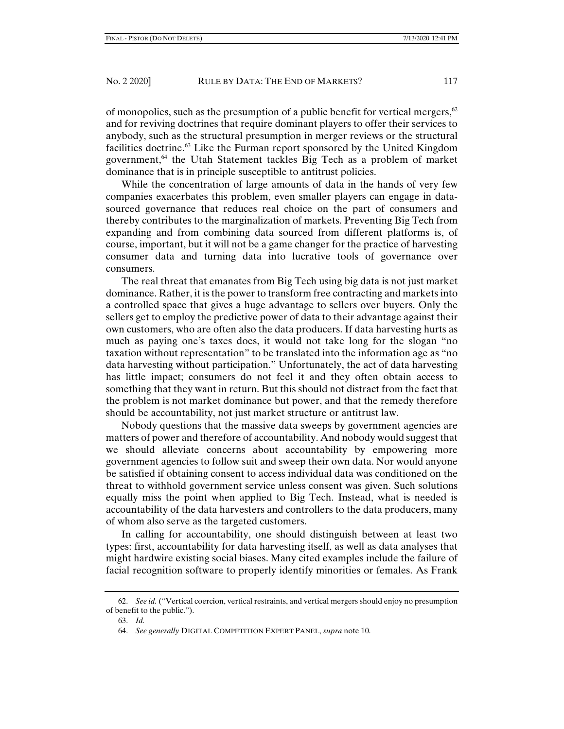of monopolies, such as the presumption of a public benefit for vertical mergers,  $62$ and for reviving doctrines that require dominant players to offer their services to anybody, such as the structural presumption in merger reviews or the structural facilities doctrine.<sup>63</sup> Like the Furman report sponsored by the United Kingdom government,64 the Utah Statement tackles Big Tech as a problem of market dominance that is in principle susceptible to antitrust policies.

While the concentration of large amounts of data in the hands of very few companies exacerbates this problem, even smaller players can engage in datasourced governance that reduces real choice on the part of consumers and thereby contributes to the marginalization of markets. Preventing Big Tech from expanding and from combining data sourced from different platforms is, of course, important, but it will not be a game changer for the practice of harvesting consumer data and turning data into lucrative tools of governance over consumers.

The real threat that emanates from Big Tech using big data is not just market dominance. Rather, it is the power to transform free contracting and markets into a controlled space that gives a huge advantage to sellers over buyers. Only the sellers get to employ the predictive power of data to their advantage against their own customers, who are often also the data producers. If data harvesting hurts as much as paying one's taxes does, it would not take long for the slogan "no taxation without representation" to be translated into the information age as "no data harvesting without participation." Unfortunately, the act of data harvesting has little impact; consumers do not feel it and they often obtain access to something that they want in return. But this should not distract from the fact that the problem is not market dominance but power, and that the remedy therefore should be accountability, not just market structure or antitrust law.

Nobody questions that the massive data sweeps by government agencies are matters of power and therefore of accountability. And nobody would suggest that we should alleviate concerns about accountability by empowering more government agencies to follow suit and sweep their own data. Nor would anyone be satisfied if obtaining consent to access individual data was conditioned on the threat to withhold government service unless consent was given. Such solutions equally miss the point when applied to Big Tech. Instead, what is needed is accountability of the data harvesters and controllers to the data producers, many of whom also serve as the targeted customers.

In calling for accountability, one should distinguish between at least two types: first, accountability for data harvesting itself, as well as data analyses that might hardwire existing social biases. Many cited examples include the failure of facial recognition software to properly identify minorities or females. As Frank

 <sup>62.</sup> *See id.* ("Vertical coercion, vertical restraints, and vertical mergers should enjoy no presumption of benefit to the public.").

 <sup>63.</sup> *Id.*

 <sup>64.</sup> *See generally* DIGITAL COMPETITION EXPERT PANEL, *supra* note 10.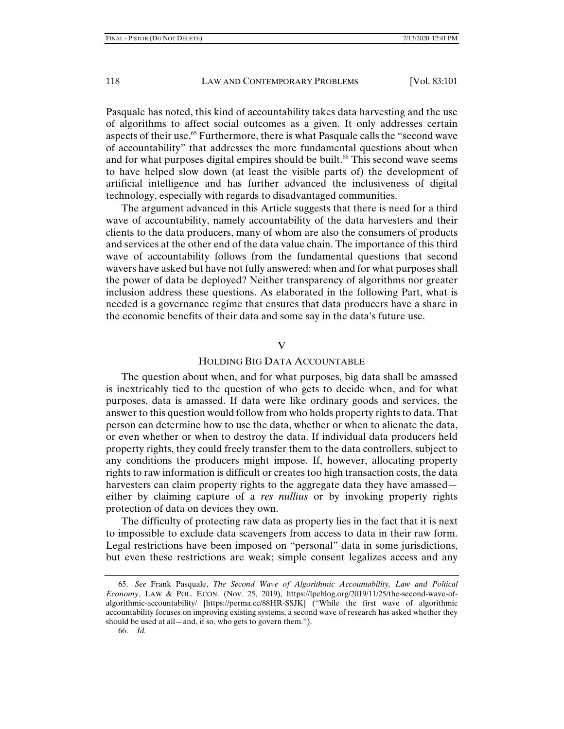Pasquale has noted, this kind of accountability takes data harvesting and the use of algorithms to affect social outcomes as a given. It only addresses certain aspects of their use.<sup>65</sup> Furthermore, there is what Pasquale calls the "second wave of accountability" that addresses the more fundamental questions about when and for what purposes digital empires should be built.<sup>66</sup> This second wave seems to have helped slow down (at least the visible parts of) the development of artificial intelligence and has further advanced the inclusiveness of digital technology, especially with regards to disadvantaged communities.

The argument advanced in this Article suggests that there is need for a third wave of accountability, namely accountability of the data harvesters and their clients to the data producers, many of whom are also the consumers of products and services at the other end of the data value chain. The importance of this third wave of accountability follows from the fundamental questions that second wavers have asked but have not fully answered: when and for what purposes shall the power of data be deployed? Neither transparency of algorithms nor greater inclusion address these questions. As elaborated in the following Part, what is needed is a governance regime that ensures that data producers have a share in the economic benefits of their data and some say in the data's future use.

#### V

#### HOLDING BIG DATA ACCOUNTABLE

The question about when, and for what purposes, big data shall be amassed is inextricably tied to the question of who gets to decide when, and for what purposes, data is amassed. If data were like ordinary goods and services, the answer to this question would follow from who holds property rights to data. That person can determine how to use the data, whether or when to alienate the data, or even whether or when to destroy the data. If individual data producers held property rights, they could freely transfer them to the data controllers, subject to any conditions the producers might impose. If, however, allocating property rights to raw information is difficult or creates too high transaction costs, the data harvesters can claim property rights to the aggregate data they have amassed either by claiming capture of a *res nullius* or by invoking property rights protection of data on devices they own.

The difficulty of protecting raw data as property lies in the fact that it is next to impossible to exclude data scavengers from access to data in their raw form. Legal restrictions have been imposed on "personal" data in some jurisdictions, but even these restrictions are weak; simple consent legalizes access and any

 <sup>65.</sup> *See* Frank Pasquale, *The Second Wave of Algorithmic Accountability, Law and Poltical Economy*, LAW & POL. ECON. (Nov. 25, 2019), https://lpeblog.org/2019/11/25/the-second-wave-ofalgorithmic-accountability/ [https://perma.cc/88HR-SSJK] ("While the first wave of algorithmic accountability focuses on improving existing systems, a second wave of research has asked whether they should be used at all—and, if so, who gets to govern them.").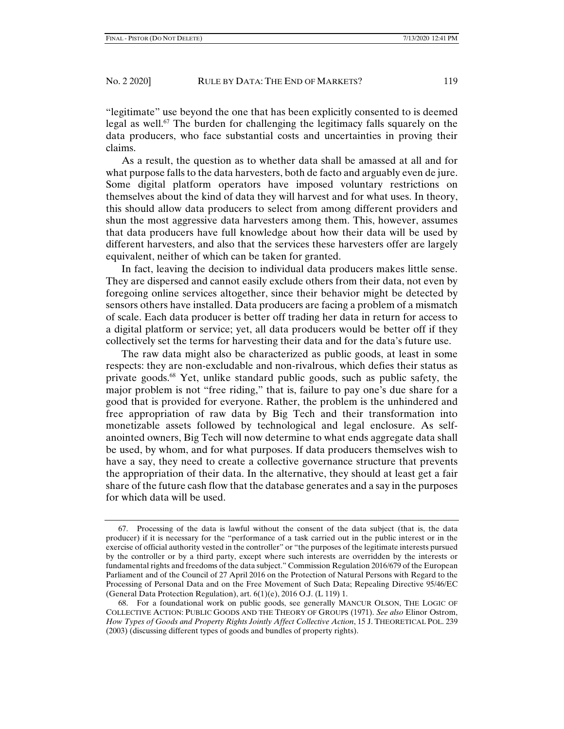"legitimate" use beyond the one that has been explicitly consented to is deemed legal as well.<sup>67</sup> The burden for challenging the legitimacy falls squarely on the data producers, who face substantial costs and uncertainties in proving their claims.

As a result, the question as to whether data shall be amassed at all and for what purpose falls to the data harvesters, both de facto and arguably even de jure. Some digital platform operators have imposed voluntary restrictions on themselves about the kind of data they will harvest and for what uses. In theory, this should allow data producers to select from among different providers and shun the most aggressive data harvesters among them. This, however, assumes that data producers have full knowledge about how their data will be used by different harvesters, and also that the services these harvesters offer are largely equivalent, neither of which can be taken for granted.

In fact, leaving the decision to individual data producers makes little sense. They are dispersed and cannot easily exclude others from their data, not even by foregoing online services altogether, since their behavior might be detected by sensors others have installed. Data producers are facing a problem of a mismatch of scale. Each data producer is better off trading her data in return for access to a digital platform or service; yet, all data producers would be better off if they collectively set the terms for harvesting their data and for the data's future use.

The raw data might also be characterized as public goods, at least in some respects: they are non-excludable and non-rivalrous, which defies their status as private goods.68 Yet, unlike standard public goods, such as public safety, the major problem is not "free riding," that is, failure to pay one's due share for a good that is provided for everyone. Rather, the problem is the unhindered and free appropriation of raw data by Big Tech and their transformation into monetizable assets followed by technological and legal enclosure. As selfanointed owners, Big Tech will now determine to what ends aggregate data shall be used, by whom, and for what purposes. If data producers themselves wish to have a say, they need to create a collective governance structure that prevents the appropriation of their data. In the alternative, they should at least get a fair share of the future cash flow that the database generates and a say in the purposes for which data will be used.

 <sup>67.</sup> Processing of the data is lawful without the consent of the data subject (that is, the data producer) if it is necessary for the "performance of a task carried out in the public interest or in the exercise of official authority vested in the controller" or "the purposes of the legitimate interests pursued by the controller or by a third party, except where such interests are overridden by the interests or fundamental rights and freedoms of the data subject." Commission Regulation 2016/679 of the European Parliament and of the Council of 27 April 2016 on the Protection of Natural Persons with Regard to the Processing of Personal Data and on the Free Movement of Such Data; Repealing Directive 95/46/EC (General Data Protection Regulation), art. 6(1)(e), 2016 O.J. (L 119) 1.

 <sup>68.</sup> For a foundational work on public goods, see generally MANCUR OLSON, THE LOGIC OF COLLECTIVE ACTION: PUBLIC GOODS AND THE THEORY OF GROUPS (1971). *See also* Elinor Ostrom, *How Types of Goods and Property Rights Jointly Affect Collective Action*, 15 J. THEORETICAL POL. 239 (2003) (discussing different types of goods and bundles of property rights).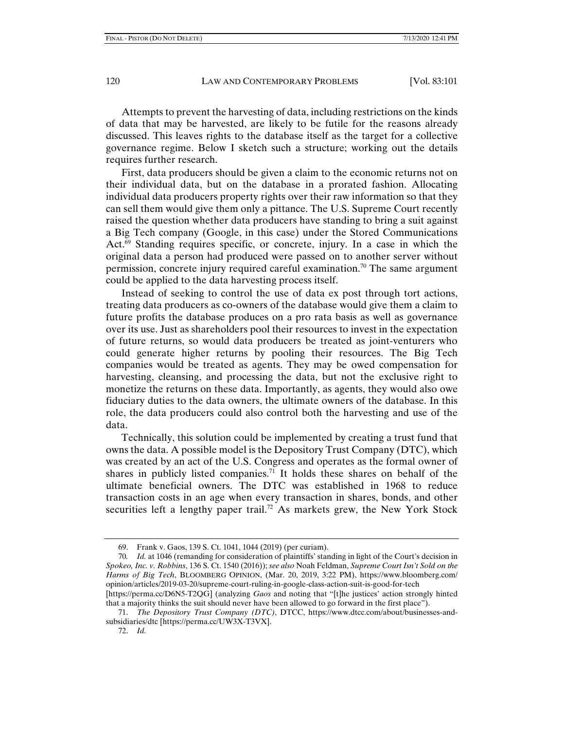Attempts to prevent the harvesting of data, including restrictions on the kinds of data that may be harvested, are likely to be futile for the reasons already discussed. This leaves rights to the database itself as the target for a collective governance regime. Below I sketch such a structure; working out the details requires further research.

First, data producers should be given a claim to the economic returns not on their individual data, but on the database in a prorated fashion. Allocating individual data producers property rights over their raw information so that they can sell them would give them only a pittance. The U.S. Supreme Court recently raised the question whether data producers have standing to bring a suit against a Big Tech company (Google, in this case) under the Stored Communications Act.69 Standing requires specific, or concrete, injury. In a case in which the original data a person had produced were passed on to another server without permission, concrete injury required careful examination.<sup>70</sup> The same argument could be applied to the data harvesting process itself.

Instead of seeking to control the use of data ex post through tort actions, treating data producers as co-owners of the database would give them a claim to future profits the database produces on a pro rata basis as well as governance over its use. Just as shareholders pool their resources to invest in the expectation of future returns, so would data producers be treated as joint-venturers who could generate higher returns by pooling their resources. The Big Tech companies would be treated as agents. They may be owed compensation for harvesting, cleansing, and processing the data, but not the exclusive right to monetize the returns on these data. Importantly, as agents, they would also owe fiduciary duties to the data owners, the ultimate owners of the database. In this role, the data producers could also control both the harvesting and use of the data.

Technically, this solution could be implemented by creating a trust fund that owns the data. A possible model is the Depository Trust Company (DTC), which was created by an act of the U.S. Congress and operates as the formal owner of shares in publicly listed companies.<sup>71</sup> It holds these shares on behalf of the ultimate beneficial owners. The DTC was established in 1968 to reduce transaction costs in an age when every transaction in shares, bonds, and other securities left a lengthy paper trail.<sup>72</sup> As markets grew, the New York Stock

 <sup>69.</sup> Frank v. Gaos, 139 S. Ct. 1041, 1044 (2019) (per curiam).

<sup>70</sup>*. Id.* at 1046 (remanding for consideration of plaintiffs' standing in light of the Court's decision in *Spokeo, Inc. v. Robbins*, 136 S. Ct. 1540 (2016)); *see also* Noah Feldman, *Supreme Court Isn't Sold on the Harms of Big Tech*, BLOOMBERG OPINION, (Mar. 20, 2019, 3:22 PM), https://www.bloomberg.com/ opinion/articles/2019-03-20/supreme-court-ruling-in-google-class-action-suit-is-good-for-tech [https://perma.cc/D6N5-T2QG] (analyzing *Gaos* and noting that "[t]he justices' action strongly hinted

that a majority thinks the suit should never have been allowed to go forward in the first place").

 <sup>71.</sup> *The Depository Trust Company (DTC)*, DTCC, https://www.dtcc.com/about/businesses-andsubsidiaries/dtc [https://perma.cc/UW3X-T3VX].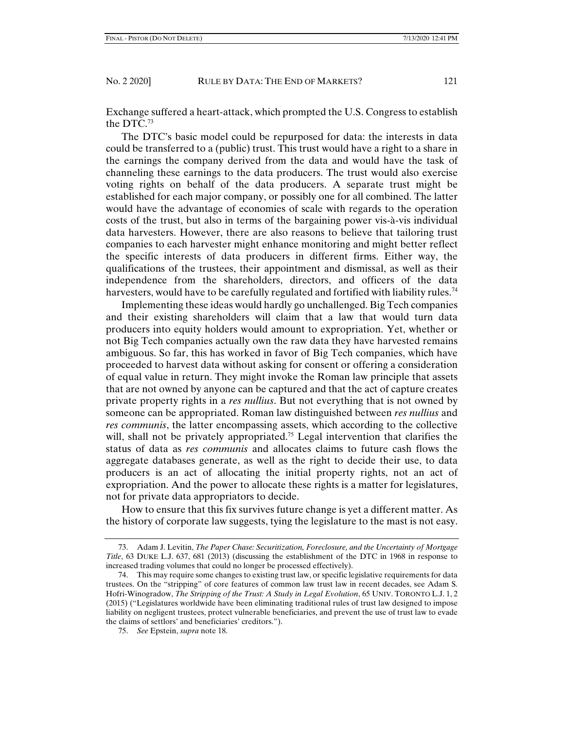Exchange suffered a heart-attack, which prompted the U.S. Congress to establish the DTC.73

The DTC's basic model could be repurposed for data: the interests in data could be transferred to a (public) trust. This trust would have a right to a share in the earnings the company derived from the data and would have the task of channeling these earnings to the data producers. The trust would also exercise voting rights on behalf of the data producers. A separate trust might be established for each major company, or possibly one for all combined. The latter would have the advantage of economies of scale with regards to the operation costs of the trust, but also in terms of the bargaining power vis-à-vis individual data harvesters. However, there are also reasons to believe that tailoring trust companies to each harvester might enhance monitoring and might better reflect the specific interests of data producers in different firms. Either way, the qualifications of the trustees, their appointment and dismissal, as well as their independence from the shareholders, directors, and officers of the data harvesters, would have to be carefully regulated and fortified with liability rules.<sup>74</sup>

Implementing these ideas would hardly go unchallenged. Big Tech companies and their existing shareholders will claim that a law that would turn data producers into equity holders would amount to expropriation. Yet, whether or not Big Tech companies actually own the raw data they have harvested remains ambiguous. So far, this has worked in favor of Big Tech companies, which have proceeded to harvest data without asking for consent or offering a consideration of equal value in return. They might invoke the Roman law principle that assets that are not owned by anyone can be captured and that the act of capture creates private property rights in a *res nullius*. But not everything that is not owned by someone can be appropriated. Roman law distinguished between *res nullius* and *res communis*, the latter encompassing assets, which according to the collective will, shall not be privately appropriated.<sup>75</sup> Legal intervention that clarifies the status of data as *res communis* and allocates claims to future cash flows the aggregate databases generate, as well as the right to decide their use, to data producers is an act of allocating the initial property rights, not an act of expropriation. And the power to allocate these rights is a matter for legislatures, not for private data appropriators to decide.

How to ensure that this fix survives future change is yet a different matter. As the history of corporate law suggests, tying the legislature to the mast is not easy.

 <sup>73.</sup> Adam J. Levitin, *The Paper Chase: Securitization, Foreclosure, and the Uncertainty of Mortgage Title*, 63 DUKE L.J. 637, 681 (2013) (discussing the establishment of the DTC in 1968 in response to increased trading volumes that could no longer be processed effectively).

 <sup>74.</sup> This may require some changes to existing trust law, or specific legislative requirements for data trustees. On the "stripping" of core features of common law trust law in recent decades, see Adam S. Hofri-Winogradow, *The Stripping of the Trust: A Study in Legal Evolution*, 65 UNIV. TORONTO L.J. 1, 2 (2015) ("Legislatures worldwide have been eliminating traditional rules of trust law designed to impose liability on negligent trustees, protect vulnerable beneficiaries, and prevent the use of trust law to evade the claims of settlors' and beneficiaries' creditors.").

 <sup>75.</sup> *See* Epstein, *supra* note 18.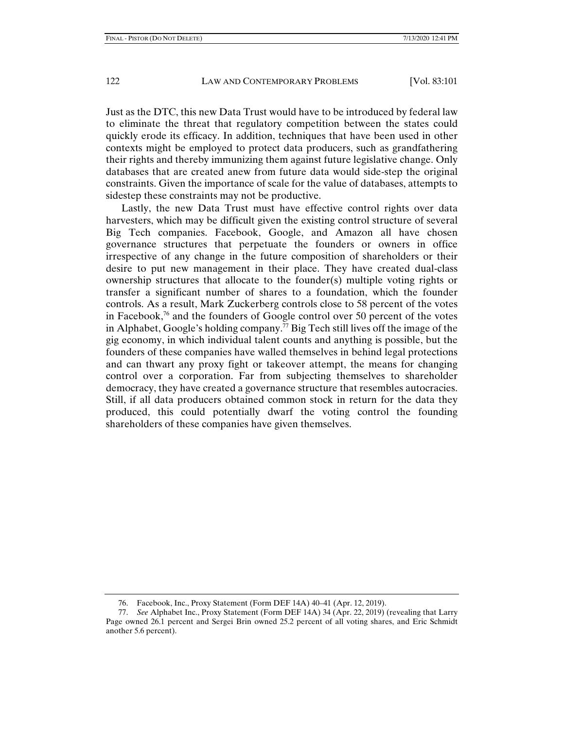Just as the DTC, this new Data Trust would have to be introduced by federal law to eliminate the threat that regulatory competition between the states could quickly erode its efficacy. In addition, techniques that have been used in other contexts might be employed to protect data producers, such as grandfathering their rights and thereby immunizing them against future legislative change. Only databases that are created anew from future data would side-step the original constraints. Given the importance of scale for the value of databases, attempts to sidestep these constraints may not be productive.

Lastly, the new Data Trust must have effective control rights over data harvesters, which may be difficult given the existing control structure of several Big Tech companies. Facebook, Google, and Amazon all have chosen governance structures that perpetuate the founders or owners in office irrespective of any change in the future composition of shareholders or their desire to put new management in their place. They have created dual-class ownership structures that allocate to the founder(s) multiple voting rights or transfer a significant number of shares to a foundation, which the founder controls. As a result, Mark Zuckerberg controls close to 58 percent of the votes in Facebook,<sup>76</sup> and the founders of Google control over 50 percent of the votes in Alphabet, Google's holding company.<sup>77</sup> Big Tech still lives off the image of the gig economy, in which individual talent counts and anything is possible, but the founders of these companies have walled themselves in behind legal protections and can thwart any proxy fight or takeover attempt, the means for changing control over a corporation. Far from subjecting themselves to shareholder democracy, they have created a governance structure that resembles autocracies. Still, if all data producers obtained common stock in return for the data they produced, this could potentially dwarf the voting control the founding shareholders of these companies have given themselves.

 <sup>76.</sup> Facebook, Inc., Proxy Statement (Form DEF 14A) 40–41 (Apr. 12, 2019).

 <sup>77.</sup> *See* Alphabet Inc., Proxy Statement (Form DEF 14A) 34 (Apr. 22, 2019) (revealing that Larry Page owned 26.1 percent and Sergei Brin owned 25.2 percent of all voting shares, and Eric Schmidt another 5.6 percent).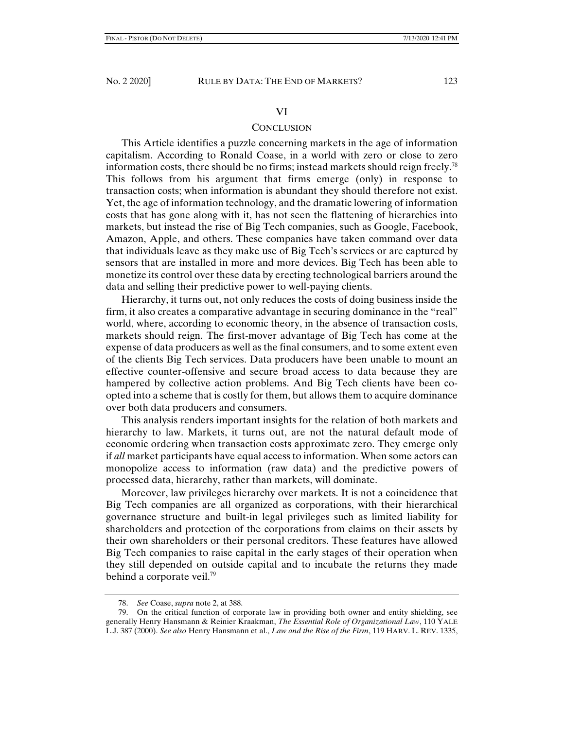#### VI

## **CONCLUSION**

This Article identifies a puzzle concerning markets in the age of information capitalism. According to Ronald Coase, in a world with zero or close to zero information costs, there should be no firms; instead markets should reign freely.<sup>78</sup> This follows from his argument that firms emerge (only) in response to transaction costs; when information is abundant they should therefore not exist. Yet, the age of information technology, and the dramatic lowering of information costs that has gone along with it, has not seen the flattening of hierarchies into markets, but instead the rise of Big Tech companies, such as Google, Facebook, Amazon, Apple, and others. These companies have taken command over data that individuals leave as they make use of Big Tech's services or are captured by sensors that are installed in more and more devices. Big Tech has been able to monetize its control over these data by erecting technological barriers around the data and selling their predictive power to well-paying clients.

Hierarchy, it turns out, not only reduces the costs of doing business inside the firm, it also creates a comparative advantage in securing dominance in the "real" world, where, according to economic theory, in the absence of transaction costs, markets should reign. The first-mover advantage of Big Tech has come at the expense of data producers as well as the final consumers, and to some extent even of the clients Big Tech services. Data producers have been unable to mount an effective counter-offensive and secure broad access to data because they are hampered by collective action problems. And Big Tech clients have been coopted into a scheme that is costly for them, but allows them to acquire dominance over both data producers and consumers.

This analysis renders important insights for the relation of both markets and hierarchy to law. Markets, it turns out, are not the natural default mode of economic ordering when transaction costs approximate zero. They emerge only if *all* market participants have equal access to information. When some actors can monopolize access to information (raw data) and the predictive powers of processed data, hierarchy, rather than markets, will dominate.

Moreover, law privileges hierarchy over markets. It is not a coincidence that Big Tech companies are all organized as corporations, with their hierarchical governance structure and built-in legal privileges such as limited liability for shareholders and protection of the corporations from claims on their assets by their own shareholders or their personal creditors. These features have allowed Big Tech companies to raise capital in the early stages of their operation when they still depended on outside capital and to incubate the returns they made behind a corporate veil.<sup>79</sup>

 <sup>78.</sup> *See* Coase, *supra* note 2, at 388.

 <sup>79.</sup> On the critical function of corporate law in providing both owner and entity shielding, see generally Henry Hansmann & Reinier Kraakman, *The Essential Role of Organizational Law*, 110 YALE L.J. 387 (2000). *See also* Henry Hansmann et al., *Law and the Rise of the Firm*, 119 HARV. L. REV. 1335,